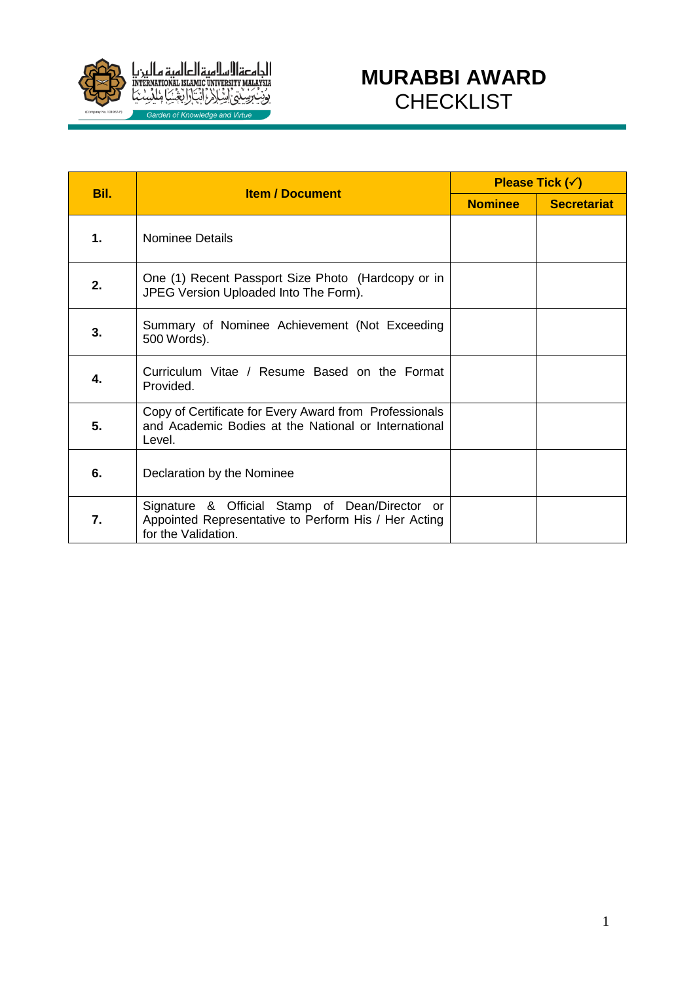

| Bil. | <b>Item / Document</b>                                                                                                        | Please Tick $(\checkmark)$ |                    |
|------|-------------------------------------------------------------------------------------------------------------------------------|----------------------------|--------------------|
|      |                                                                                                                               | <b>Nominee</b>             | <b>Secretariat</b> |
| 1.   | Nominee Details                                                                                                               |                            |                    |
| 2.   | One (1) Recent Passport Size Photo (Hardcopy or in<br>JPEG Version Uploaded Into The Form).                                   |                            |                    |
| 3.   | Summary of Nominee Achievement (Not Exceeding<br>500 Words).                                                                  |                            |                    |
| 4.   | Curriculum Vitae / Resume Based on the Format<br>Provided.                                                                    |                            |                    |
| 5.   | Copy of Certificate for Every Award from Professionals<br>and Academic Bodies at the National or International<br>Level.      |                            |                    |
| 6.   | Declaration by the Nominee                                                                                                    |                            |                    |
| 7.   | Signature & Official Stamp of Dean/Director or<br>Appointed Representative to Perform His / Her Acting<br>for the Validation. |                            |                    |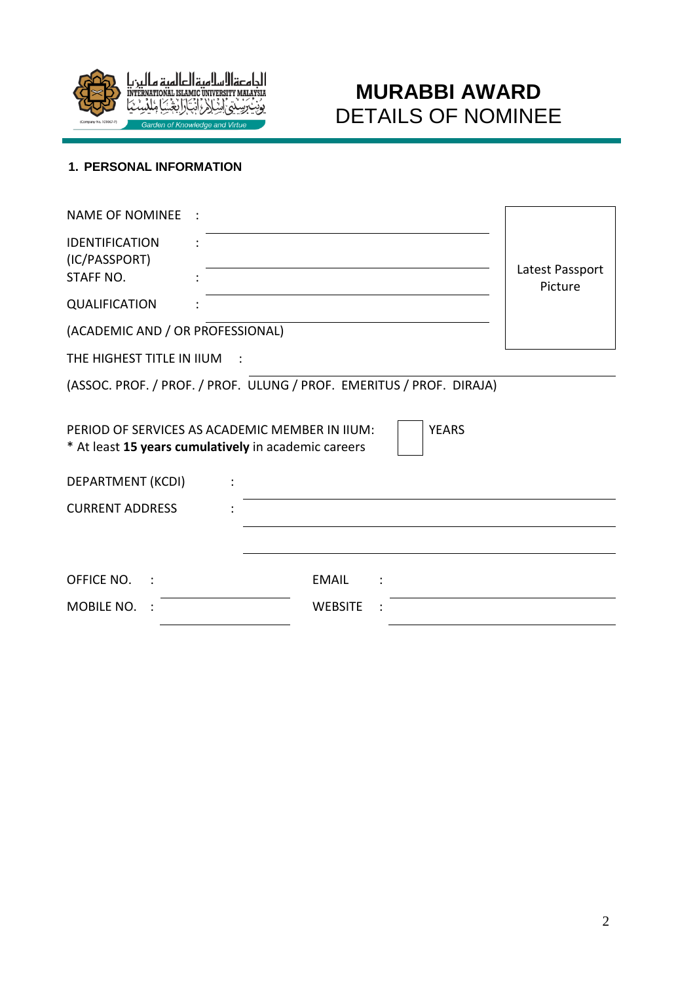

# **MURABBI AWARD** DETAILS OF NOMINEE

## **1. PERSONAL INFORMATION**

| <b>NAME OF NOMINEE</b>                               |                                                                      |                            |
|------------------------------------------------------|----------------------------------------------------------------------|----------------------------|
| <b>IDENTIFICATION</b><br>(IC/PASSPORT)<br>STAFF NO.  |                                                                      | Latest Passport<br>Picture |
| <b>QUALIFICATION</b>                                 |                                                                      |                            |
| (ACADEMIC AND / OR PROFESSIONAL)                     |                                                                      |                            |
| THE HIGHEST TITLE IN IIUM                            |                                                                      |                            |
|                                                      | (ASSOC. PROF. / PROF. / PROF. ULUNG / PROF. EMERITUS / PROF. DIRAJA) |                            |
| * At least 15 years cumulatively in academic careers | <b>YEARS</b><br>PERIOD OF SERVICES AS ACADEMIC MEMBER IN IIUM:       |                            |
| DEPARTMENT (KCDI)                                    |                                                                      |                            |
| <b>CURRENT ADDRESS</b>                               |                                                                      |                            |
|                                                      |                                                                      |                            |
| OFFICE NO.<br>$\cdot$ :                              | <b>EMAIL</b>                                                         |                            |
| MOBILE NO.                                           | <b>WEBSITE</b>                                                       |                            |
|                                                      |                                                                      |                            |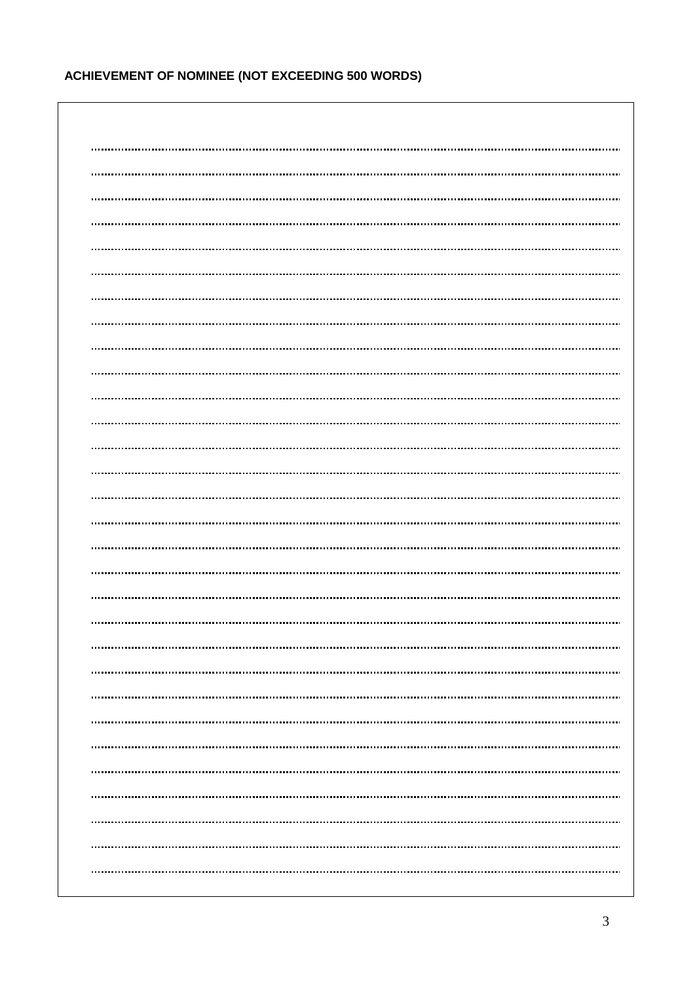## **ACHIEVEMENT OF NOMINEE (NOT EXCEEDING 500 WORDS)**

| $\cdots$ |
|----------|
|          |
|          |
|          |
| $\cdots$ |
|          |
|          |
|          |
|          |
| $\cdots$ |
|          |
|          |
|          |
|          |
|          |
|          |
|          |
|          |
|          |
|          |
|          |
|          |
|          |
|          |
|          |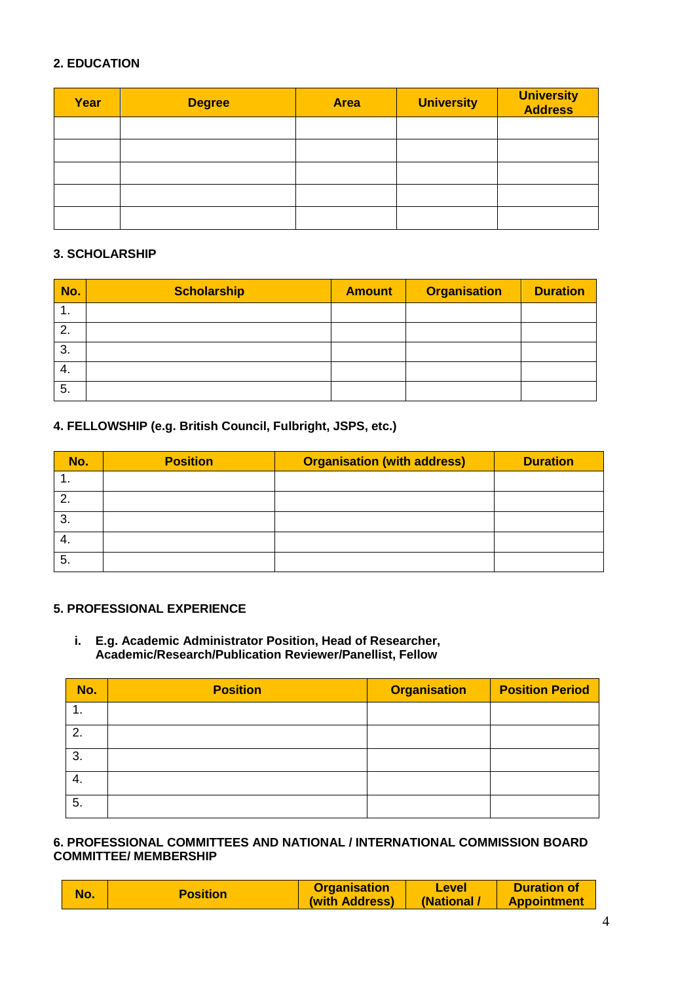## **2. EDUCATION**

| Year | <b>Degree</b> | <b>Area</b> | <b>University</b> | <b>University</b><br><b>Address</b> |
|------|---------------|-------------|-------------------|-------------------------------------|
|      |               |             |                   |                                     |
|      |               |             |                   |                                     |
|      |               |             |                   |                                     |
|      |               |             |                   |                                     |
|      |               |             |                   |                                     |

#### **3. SCHOLARSHIP**

| No.     | <b>Scholarship</b> | <b>Amount</b> | <b>Organisation</b> | <b>Duration</b> |
|---------|--------------------|---------------|---------------------|-----------------|
| ٠.      |                    |               |                     |                 |
| ົ<br>۷. |                    |               |                     |                 |
| 3.      |                    |               |                     |                 |
| 4.      |                    |               |                     |                 |
| 5.      |                    |               |                     |                 |

#### **4. FELLOWSHIP (e.g. British Council, Fulbright, JSPS, etc.)**

| No. | <b>Position</b> | <b>Organisation (with address)</b> | <b>Duration</b> |
|-----|-----------------|------------------------------------|-----------------|
|     |                 |                                    |                 |
|     |                 |                                    |                 |
| 3.  |                 |                                    |                 |
| -4. |                 |                                    |                 |
| 5.  |                 |                                    |                 |

#### **5. PROFESSIONAL EXPERIENCE**

**i. E.g. Academic Administrator Position, Head of Researcher, Academic/Research/Publication Reviewer/Panellist, Fellow**

| No. | <b>Position</b> | <b>Organisation</b> | <b>Position Period</b> |
|-----|-----------------|---------------------|------------------------|
| п.  |                 |                     |                        |
| 2.  |                 |                     |                        |
| 3.  |                 |                     |                        |
| 4.  |                 |                     |                        |
| 5.  |                 |                     |                        |

#### **6. PROFESSIONAL COMMITTEES AND NATIONAL / INTERNATIONAL COMMISSION BOARD COMMITTEE/ MEMBERSHIP**

| <b>No</b> | <b>Position</b> | <b>Organisation</b>   | <b>Level</b> | <b>Duration of</b> |
|-----------|-----------------|-----------------------|--------------|--------------------|
|           |                 | <b>(with Address)</b> | (National /  | <b>Appointment</b> |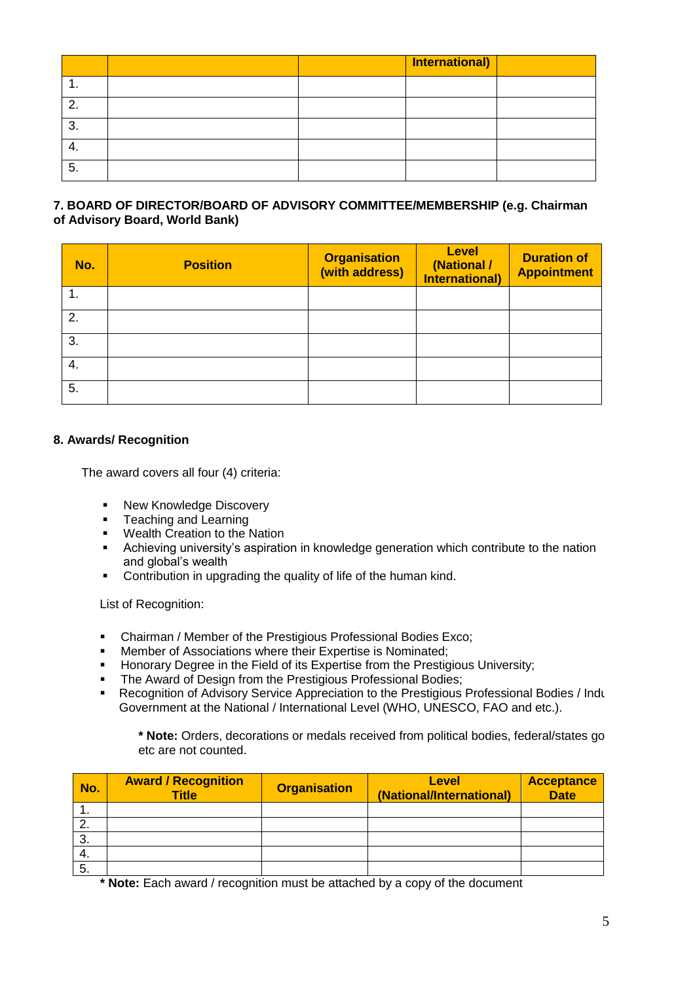|    |  | <b>International)</b> |  |
|----|--|-----------------------|--|
|    |  |                       |  |
| ◠  |  |                       |  |
| ◠  |  |                       |  |
|    |  |                       |  |
| 5. |  |                       |  |

## **7. BOARD OF DIRECTOR/BOARD OF ADVISORY COMMITTEE/MEMBERSHIP (e.g. Chairman of Advisory Board, World Bank)**

| No. | <b>Position</b> | <b>Organisation</b><br>(with address) | <b>Level</b><br>(National /<br>International) | <b>Duration of</b><br><b>Appointment</b> |
|-----|-----------------|---------------------------------------|-----------------------------------------------|------------------------------------------|
| 1.  |                 |                                       |                                               |                                          |
| 2.  |                 |                                       |                                               |                                          |
| 3.  |                 |                                       |                                               |                                          |
| 4.  |                 |                                       |                                               |                                          |
| 5.  |                 |                                       |                                               |                                          |

#### **8. Awards/ Recognition**

The award covers all four (4) criteria:

- New Knowledge Discovery
- **•** Teaching and Learning
- Wealth Creation to the Nation
- Achieving university's aspiration in knowledge generation which contribute to the nation and global's wealth
- Contribution in upgrading the quality of life of the human kind.

List of Recognition:

- Chairman / Member of the Prestigious Professional Bodies Exco;
- Member of Associations where their Expertise is Nominated;
- Honorary Degree in the Field of its Expertise from the Prestigious University;
- The Award of Design from the Prestigious Professional Bodies;
- Recognition of Advisory Service Appreciation to the Prestigious Professional Bodies / Indu Government at the National / International Level (WHO, UNESCO, FAO and etc.).

\* **Note:** Orders, decorations or medals received from political bodies, federal/states go etc are not counted.

| No.     | <b>Award / Recognition</b><br><b>Title</b> | <b>Organisation</b> | <b>Level</b><br>(National/International) | <b>Acceptance</b><br><b>Date</b> |
|---------|--------------------------------------------|---------------------|------------------------------------------|----------------------------------|
| . .     |                                            |                     |                                          |                                  |
| റ<br>Ζ. |                                            |                     |                                          |                                  |
| 3.      |                                            |                     |                                          |                                  |
| 4.      |                                            |                     |                                          |                                  |
| 5.      |                                            |                     |                                          |                                  |

**\* Note:** Each award / recognition must be attached by a copy of the document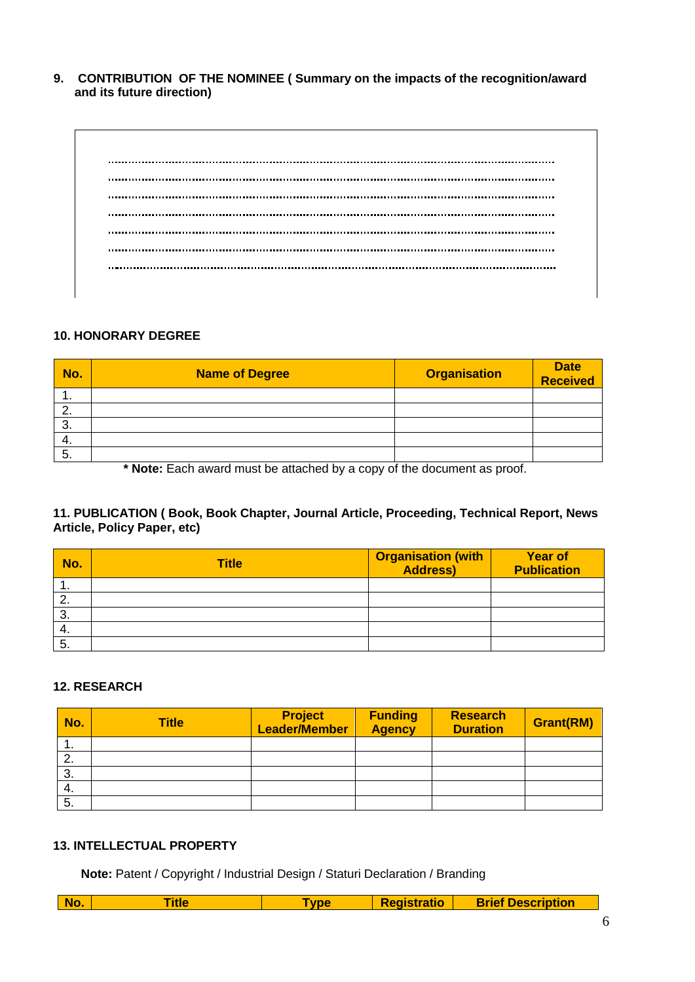**9. CONTRIBUTION OF THE NOMINEE ( Summary on the impacts of the recognition/award and its future direction)**

#### **10. HONORARY DEGREE**

| No.           | <b>Name of Degree</b> | <b>Organisation</b> | Date<br>Received |
|---------------|-----------------------|---------------------|------------------|
| . .           |                       |                     |                  |
| ີ<br><u>.</u> |                       |                     |                  |
| 3.            |                       |                     |                  |
| -4.           |                       |                     |                  |
| 5.            |                       |                     |                  |

**\* Note:** Each award must be attached by a copy of the document as proof.

**11. PUBLICATION ( Book, Book Chapter, Journal Article, Proceeding, Technical Report, News Article, Policy Paper, etc)**

| No.       | <b>Title</b> | <b>Organisation (with</b><br><b>Address)</b> | <b>Year of</b><br><b>Publication</b> |
|-----------|--------------|----------------------------------------------|--------------------------------------|
| . .       |              |                                              |                                      |
| <u>L.</u> |              |                                              |                                      |
| 3.        |              |                                              |                                      |
| -4.       |              |                                              |                                      |
| 5.        |              |                                              |                                      |

## **12. RESEARCH**

| No. | <b>Title</b> | <b>Project</b><br>Leader/Member | <b>Funding</b><br><b>Agency</b> | <b>Research</b><br><b>Duration</b> | <b>Grant(RM)</b> |
|-----|--------------|---------------------------------|---------------------------------|------------------------------------|------------------|
| ۰.  |              |                                 |                                 |                                    |                  |
| 2.  |              |                                 |                                 |                                    |                  |
| 3.  |              |                                 |                                 |                                    |                  |
| 4.  |              |                                 |                                 |                                    |                  |
| 5.  |              |                                 |                                 |                                    |                  |

## **13. INTELLECTUAL PROPERTY**

**Note:** Patent / Copyright / Industrial Design / Staturi Declaration / Branding

| No. | THE | vpe | <b>stratio</b><br>. | <b>Brief Description</b> |
|-----|-----|-----|---------------------|--------------------------|
|     |     |     |                     |                          |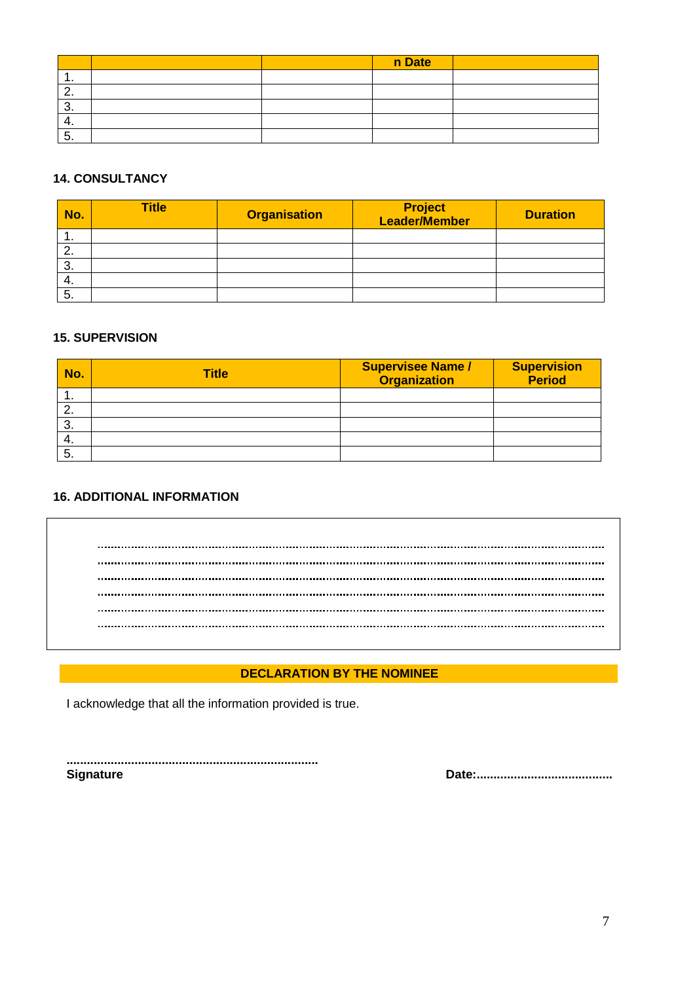|   |  | n Date |  |
|---|--|--------|--|
|   |  |        |  |
| - |  |        |  |
| ີ |  |        |  |
|   |  |        |  |
| ີ |  |        |  |

## **14. CONSULTANCY**

| No.     | <b>Title</b> | <b>Organisation</b> | <b>Project</b><br>Leader/Member | <b>Duration</b> |
|---------|--------------|---------------------|---------------------------------|-----------------|
| . .     |              |                     |                                 |                 |
| ◠<br>Ζ. |              |                     |                                 |                 |
| 3.      |              |                     |                                 |                 |
| 4.      |              |                     |                                 |                 |
| 5.      |              |                     |                                 |                 |

#### **15. SUPERVISION**

| No.      | <b>Title</b> | <b>Supervisee Name /</b><br><b>Organization</b> | <b>Supervision</b><br><b>Period</b> |
|----------|--------------|-------------------------------------------------|-------------------------------------|
| . .      |              |                                                 |                                     |
| <u>.</u> |              |                                                 |                                     |
| 3.       |              |                                                 |                                     |
| -4.      |              |                                                 |                                     |
| 5.       |              |                                                 |                                     |

## **16. ADDITIONAL INFORMATION**

#### **DECLARATION BY THE NOMINEE**

I acknowledge that all the information provided is true.

**..........................................................................**

**Signature Date:........................................**